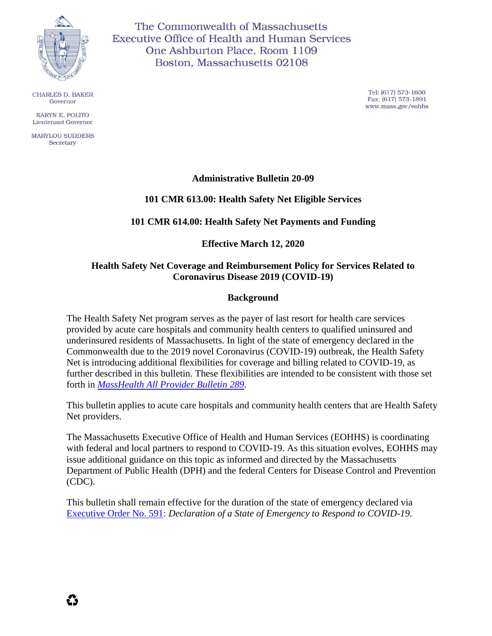

**CHARLES D. BAKER** Governor

KARYN E. POLITO **Lieutenant Governor** 

**MARYLOU SUDDERS** Secretary

The Commonwealth of Massachusetts **Executive Office of Health and Human Services** One Ashburton Place, Room 1109 Boston, Massachusetts 02108

> Tel: (617) 573-1600 Fax: (617) 573-1891 www.mass.gov/eohhs

## **Administrative Bulletin 20-09**

### **101 CMR 613.00: Health Safety Net Eligible Services**

#### **101 CMR 614.00: Health Safety Net Payments and Funding**

#### **Effective March 12, 2020**

### **Health Safety Net Coverage and Reimbursement Policy for Services Related to Coronavirus Disease 2019 (COVID-19)**

#### **Background**

The Health Safety Net program serves as the payer of last resort for health care services provided by acute care hospitals and community health centers to qualified uninsured and underinsured residents of Massachusetts. In light of the state of emergency declared in the Commonwealth due to the 2019 novel Coronavirus (COVID-19) outbreak, the Health Safety Net is introducing additional flexibilities for coverage and billing related to COVID-19, as further described in this bulletin. These flexibilities are intended to be consistent with those set forth in *[MassHealth All Provider Bulletin 289.](https://www.mass.gov/doc/all-provider-bulletin-289-masshealth-coverage-and-reimbursement-policy-for-services-related-to/download)*

This bulletin applies to acute care hospitals and community health centers that are Health Safety Net providers.

The Massachusetts Executive Office of Health and Human Services (EOHHS) is coordinating with federal and local partners to respond to COVID-19. As this situation evolves, EOHHS may issue additional guidance on this topic as informed and directed by the Massachusetts Department of Public Health (DPH) and the federal Centers for Disease Control and Prevention (CDC).

This bulletin shall remain effective for the duration of the state of emergency declared via [Executive Order No. 591:](https://www.mass.gov/executive-orders/no-591-declaration-of-a-state-of-emergency-to-respond-to-covid-19) *Declaration of a State of Emergency to Respond to COVID-19*.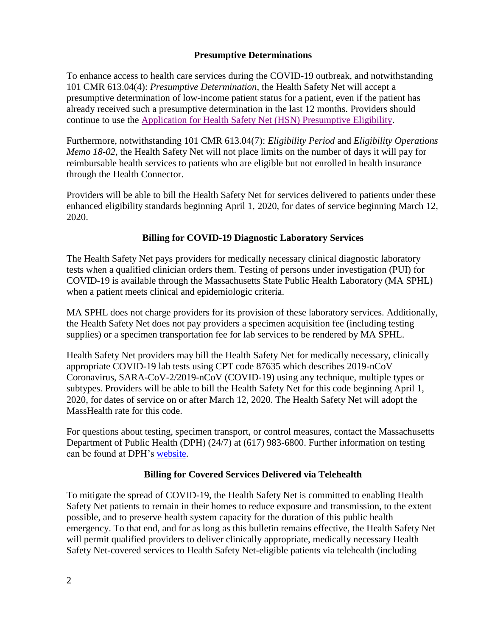## **Presumptive Determinations**

To enhance access to health care services during the COVID-19 outbreak, and notwithstanding 101 CMR 613.04(4): *Presumptive Determination*, the Health Safety Net will accept a presumptive determination of low-income patient status for a patient, even if the patient has already received such a presumptive determination in the last 12 months. Providers should continue to use the [Application for Health Safety Net \(HSN\) Presumptive Eligibility.](https://www.mass.gov/doc/application-for-health-safety-net-hsn-presumptive-determination-effective-0319-0/download)

Furthermore, notwithstanding 101 CMR 613.04(7): *Eligibility Period* and *Eligibility Operations Memo 18-02*, the Health Safety Net will not place limits on the number of days it will pay for reimbursable health services to patients who are eligible but not enrolled in health insurance through the Health Connector.

Providers will be able to bill the Health Safety Net for services delivered to patients under these enhanced eligibility standards beginning April 1, 2020, for dates of service beginning March 12, 2020.

## **Billing for COVID-19 Diagnostic Laboratory Services**

The Health Safety Net pays providers for medically necessary clinical diagnostic laboratory tests when a qualified clinician orders them. Testing of persons under investigation (PUI) for COVID-19 is available through the Massachusetts State Public Health Laboratory (MA SPHL) when a patient meets clinical and epidemiologic criteria.

MA SPHL does not charge providers for its provision of these laboratory services. Additionally, the Health Safety Net does not pay providers a specimen acquisition fee (including testing supplies) or a specimen transportation fee for lab services to be rendered by MA SPHL.

Health Safety Net providers may bill the Health Safety Net for medically necessary, clinically appropriate COVID-19 lab tests using CPT code 87635 which describes 2019-nCoV Coronavirus, SARA-CoV-2/2019-nCoV (COVID-19) using any technique, multiple types or subtypes. Providers will be able to bill the Health Safety Net for this code beginning April 1, 2020, for dates of service on or after March 12, 2020. The Health Safety Net will adopt the MassHealth rate for this code.

For questions about testing, specimen transport, or control measures, contact the Massachusetts Department of Public Health (DPH) (24/7) at (617) 983-6800. Further information on testing can be found at DPH's [website.](https://www.mass.gov/orgs/department-of-public-health)

## **Billing for Covered Services Delivered via Telehealth**

To mitigate the spread of COVID-19, the Health Safety Net is committed to enabling Health Safety Net patients to remain in their homes to reduce exposure and transmission, to the extent possible, and to preserve health system capacity for the duration of this public health emergency. To that end, and for as long as this bulletin remains effective, the Health Safety Net will permit qualified providers to deliver clinically appropriate, medically necessary Health Safety Net-covered services to Health Safety Net-eligible patients via telehealth (including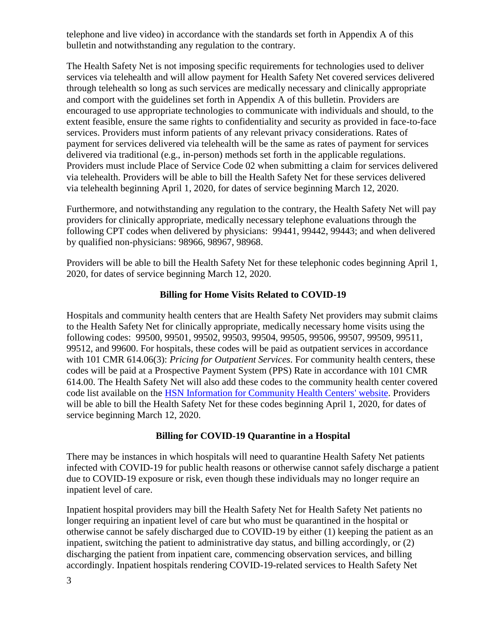telephone and live video) in accordance with the standards set forth in Appendix A of this bulletin and notwithstanding any regulation to the contrary.

The Health Safety Net is not imposing specific requirements for technologies used to deliver services via telehealth and will allow payment for Health Safety Net covered services delivered through telehealth so long as such services are medically necessary and clinically appropriate and comport with the guidelines set forth in Appendix A of this bulletin. Providers are encouraged to use appropriate technologies to communicate with individuals and should, to the extent feasible, ensure the same rights to confidentiality and security as provided in face-to-face services. Providers must inform patients of any relevant privacy considerations. Rates of payment for services delivered via telehealth will be the same as rates of payment for services delivered via traditional (e.g., in-person) methods set forth in the applicable regulations. Providers must include Place of Service Code 02 when submitting a claim for services delivered via telehealth. Providers will be able to bill the Health Safety Net for these services delivered via telehealth beginning April 1, 2020, for dates of service beginning March 12, 2020.

Furthermore, and notwithstanding any regulation to the contrary, the Health Safety Net will pay providers for clinically appropriate, medically necessary telephone evaluations through the following CPT codes when delivered by physicians: 99441, 99442, 99443; and when delivered by qualified non-physicians: 98966, 98967, 98968.

Providers will be able to bill the Health Safety Net for these telephonic codes beginning April 1, 2020, for dates of service beginning March 12, 2020.

## **Billing for Home Visits Related to COVID-19**

Hospitals and community health centers that are Health Safety Net providers may submit claims to the Health Safety Net for clinically appropriate, medically necessary home visits using the following codes: 99500, 99501, 99502, 99503, 99504, 99505, 99506, 99507, 99509, 99511, 99512, and 99600. For hospitals, these codes will be paid as outpatient services in accordance with 101 CMR 614.06(3): *Pricing for Outpatient Services*. For community health centers, these codes will be paid at a Prospective Payment System (PPS) Rate in accordance with 101 CMR 614.00. The Health Safety Net will also add these codes to the community health center covered code list available on the [HSN Information for Community Health Centers'](https://www.mass.gov/service-details/hsn-information-for-community-health-centers-chc) website. Providers will be able to bill the Health Safety Net for these codes beginning April 1, 2020, for dates of service beginning March 12, 2020.

### **Billing for COVID-19 Quarantine in a Hospital**

There may be instances in which hospitals will need to quarantine Health Safety Net patients infected with COVID-19 for public health reasons or otherwise cannot safely discharge a patient due to COVID-19 exposure or risk, even though these individuals may no longer require an inpatient level of care.

Inpatient hospital providers may bill the Health Safety Net for Health Safety Net patients no longer requiring an inpatient level of care but who must be quarantined in the hospital or otherwise cannot be safely discharged due to COVID-19 by either (1) keeping the patient as an inpatient, switching the patient to administrative day status, and billing accordingly, or (2) discharging the patient from inpatient care, commencing observation services, and billing accordingly. Inpatient hospitals rendering COVID-19-related services to Health Safety Net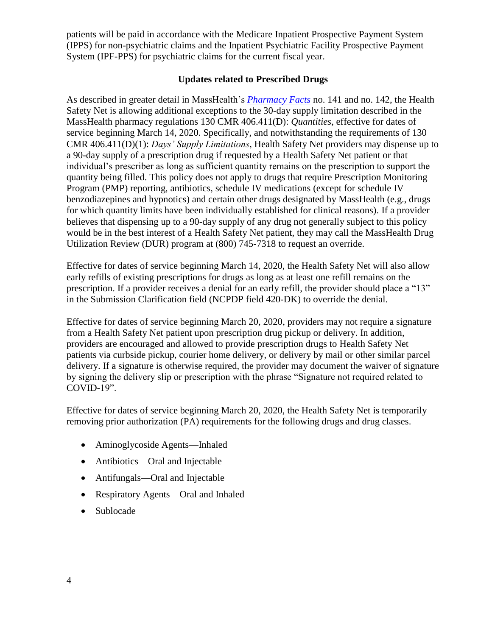patients will be paid in accordance with the Medicare Inpatient Prospective Payment System (IPPS) for non-psychiatric claims and the Inpatient Psychiatric Facility Prospective Payment System (IPF-PPS) for psychiatric claims for the current fiscal year.

## **Updates related to Prescribed Drugs**

As described in greater detail in MassHealth's *[Pharmacy Facts](https://www.mass.gov/lists/masshealth-pharmacy-facts#pharmacy-facts-2020-)* no. 141 and no. 142, the Health Safety Net is allowing additional exceptions to the 30-day supply limitation described in the MassHealth pharmacy regulations 130 CMR 406.411(D): *Quantities*, effective for dates of service beginning March 14, 2020. Specifically, and notwithstanding the requirements of 130 CMR 406.411(D)(1): *Days' Supply Limitations*, Health Safety Net providers may dispense up to a 90-day supply of a prescription drug if requested by a Health Safety Net patient or that individual's prescriber as long as sufficient quantity remains on the prescription to support the quantity being filled. This policy does not apply to drugs that require Prescription Monitoring Program (PMP) reporting, antibiotics, schedule IV medications (except for schedule IV benzodiazepines and hypnotics) and certain other drugs designated by MassHealth (e.g., drugs for which quantity limits have been individually established for clinical reasons). If a provider believes that dispensing up to a 90-day supply of any drug not generally subject to this policy would be in the best interest of a Health Safety Net patient, they may call the MassHealth Drug Utilization Review (DUR) program at (800) 745-7318 to request an override.

Effective for dates of service beginning March 14, 2020, the Health Safety Net will also allow early refills of existing prescriptions for drugs as long as at least one refill remains on the prescription. If a provider receives a denial for an early refill, the provider should place a "13" in the Submission Clarification field (NCPDP field 420-DK) to override the denial.

Effective for dates of service beginning March 20, 2020, providers may not require a signature from a Health Safety Net patient upon prescription drug pickup or delivery. In addition, providers are encouraged and allowed to provide prescription drugs to Health Safety Net patients via curbside pickup, courier home delivery, or delivery by mail or other similar parcel delivery. If a signature is otherwise required, the provider may document the waiver of signature by signing the delivery slip or prescription with the phrase "Signature not required related to COVID-19".

Effective for dates of service beginning March 20, 2020, the Health Safety Net is temporarily removing prior authorization (PA) requirements for the following drugs and drug classes.

- Aminoglycoside Agents—Inhaled
- Antibiotics—Oral and Injectable
- Antifungals—Oral and Injectable
- Respiratory Agents—Oral and Inhaled
- Sublocade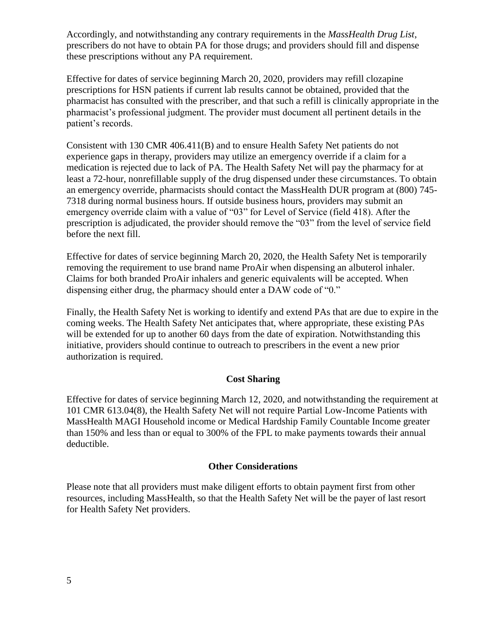Accordingly, and notwithstanding any contrary requirements in the *MassHealth Drug List*, prescribers do not have to obtain PA for those drugs; and providers should fill and dispense these prescriptions without any PA requirement.

Effective for dates of service beginning March 20, 2020, providers may refill clozapine prescriptions for HSN patients if current lab results cannot be obtained, provided that the pharmacist has consulted with the prescriber, and that such a refill is clinically appropriate in the pharmacist's professional judgment. The provider must document all pertinent details in the patient's records.

Consistent with 130 CMR 406.411(B) and to ensure Health Safety Net patients do not experience gaps in therapy, providers may utilize an emergency override if a claim for a medication is rejected due to lack of PA. The Health Safety Net will pay the pharmacy for at least a 72-hour, nonrefillable supply of the drug dispensed under these circumstances. To obtain an emergency override, pharmacists should contact the MassHealth DUR program at (800) 745- 7318 during normal business hours. If outside business hours, providers may submit an emergency override claim with a value of "03" for Level of Service (field 418). After the prescription is adjudicated, the provider should remove the "03" from the level of service field before the next fill.

Effective for dates of service beginning March 20, 2020, the Health Safety Net is temporarily removing the requirement to use brand name ProAir when dispensing an albuterol inhaler. Claims for both branded ProAir inhalers and generic equivalents will be accepted. When dispensing either drug, the pharmacy should enter a DAW code of "0."

Finally, the Health Safety Net is working to identify and extend PAs that are due to expire in the coming weeks. The Health Safety Net anticipates that, where appropriate, these existing PAs will be extended for up to another 60 days from the date of expiration. Notwithstanding this initiative, providers should continue to outreach to prescribers in the event a new prior authorization is required.

### **Cost Sharing**

Effective for dates of service beginning March 12, 2020, and notwithstanding the requirement at 101 CMR 613.04(8), the Health Safety Net will not require Partial Low-Income Patients with MassHealth MAGI Household income or Medical Hardship Family Countable Income greater than 150% and less than or equal to 300% of the FPL to make payments towards their annual deductible.

### **Other Considerations**

Please note that all providers must make diligent efforts to obtain payment first from other resources, including MassHealth, so that the Health Safety Net will be the payer of last resort for Health Safety Net providers.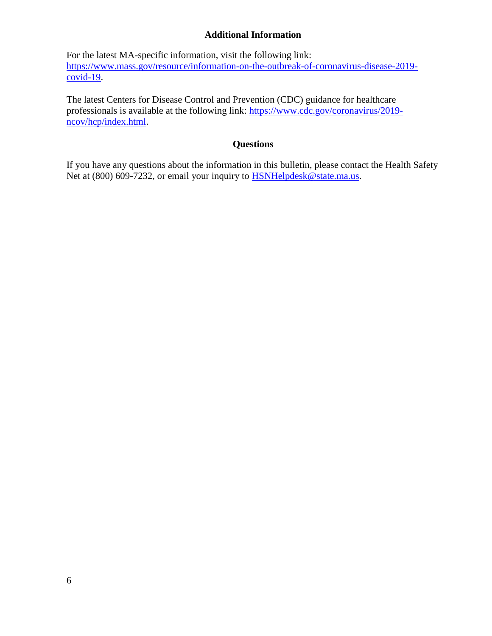## **Additional Information**

For the latest MA-specific information, visit the following link: [https://www.mass.gov/resource/information-on-the-outbreak-of-coronavirus-disease-2019-](https://www.mass.gov/resource/information-on-the-outbreak-of-coronavirus-disease-2019-covid-19)  $\overline{\text{covid-19}}$ .

The latest Centers for Disease Control and Prevention (CDC) guidance for healthcare professionals is available at the following link: [https://www.cdc.gov/coronavirus/2019](https://www.cdc.gov/coronavirus/2019-ncov/hcp/index.html) [ncov/hcp/index.html.](https://www.cdc.gov/coronavirus/2019-ncov/hcp/index.html)

### **Questions**

If you have any questions about the information in this bulletin, please contact the Health Safety Net at (800) 609-7232, or email your inquiry to [HSNHelpdesk@state.ma.us.](mailto:HSNHelpdesk@state.ma.us)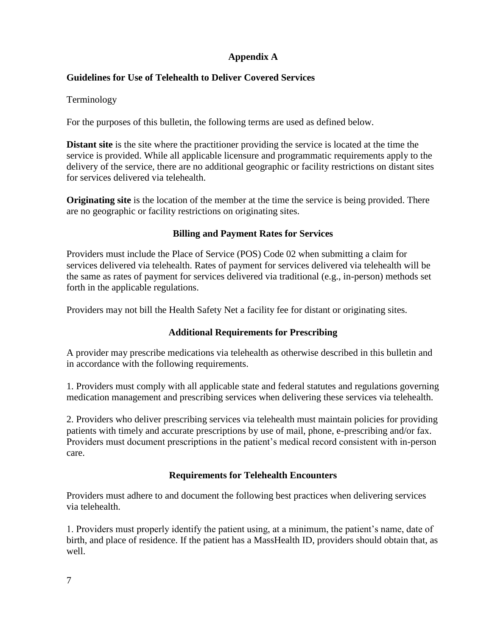# **Appendix A**

# **Guidelines for Use of Telehealth to Deliver Covered Services**

Terminology

For the purposes of this bulletin, the following terms are used as defined below.

**Distant site** is the site where the practitioner providing the service is located at the time the service is provided. While all applicable licensure and programmatic requirements apply to the delivery of the service, there are no additional geographic or facility restrictions on distant sites for services delivered via telehealth.

**Originating site** is the location of the member at the time the service is being provided. There are no geographic or facility restrictions on originating sites.

# **Billing and Payment Rates for Services**

Providers must include the Place of Service (POS) Code 02 when submitting a claim for services delivered via telehealth. Rates of payment for services delivered via telehealth will be the same as rates of payment for services delivered via traditional (e.g., in-person) methods set forth in the applicable regulations.

Providers may not bill the Health Safety Net a facility fee for distant or originating sites.

## **Additional Requirements for Prescribing**

A provider may prescribe medications via telehealth as otherwise described in this bulletin and in accordance with the following requirements.

1. Providers must comply with all applicable state and federal statutes and regulations governing medication management and prescribing services when delivering these services via telehealth.

2. Providers who deliver prescribing services via telehealth must maintain policies for providing patients with timely and accurate prescriptions by use of mail, phone, e-prescribing and/or fax. Providers must document prescriptions in the patient's medical record consistent with in-person care.

## **Requirements for Telehealth Encounters**

Providers must adhere to and document the following best practices when delivering services via telehealth.

1. Providers must properly identify the patient using, at a minimum, the patient's name, date of birth, and place of residence. If the patient has a MassHealth ID, providers should obtain that, as well.